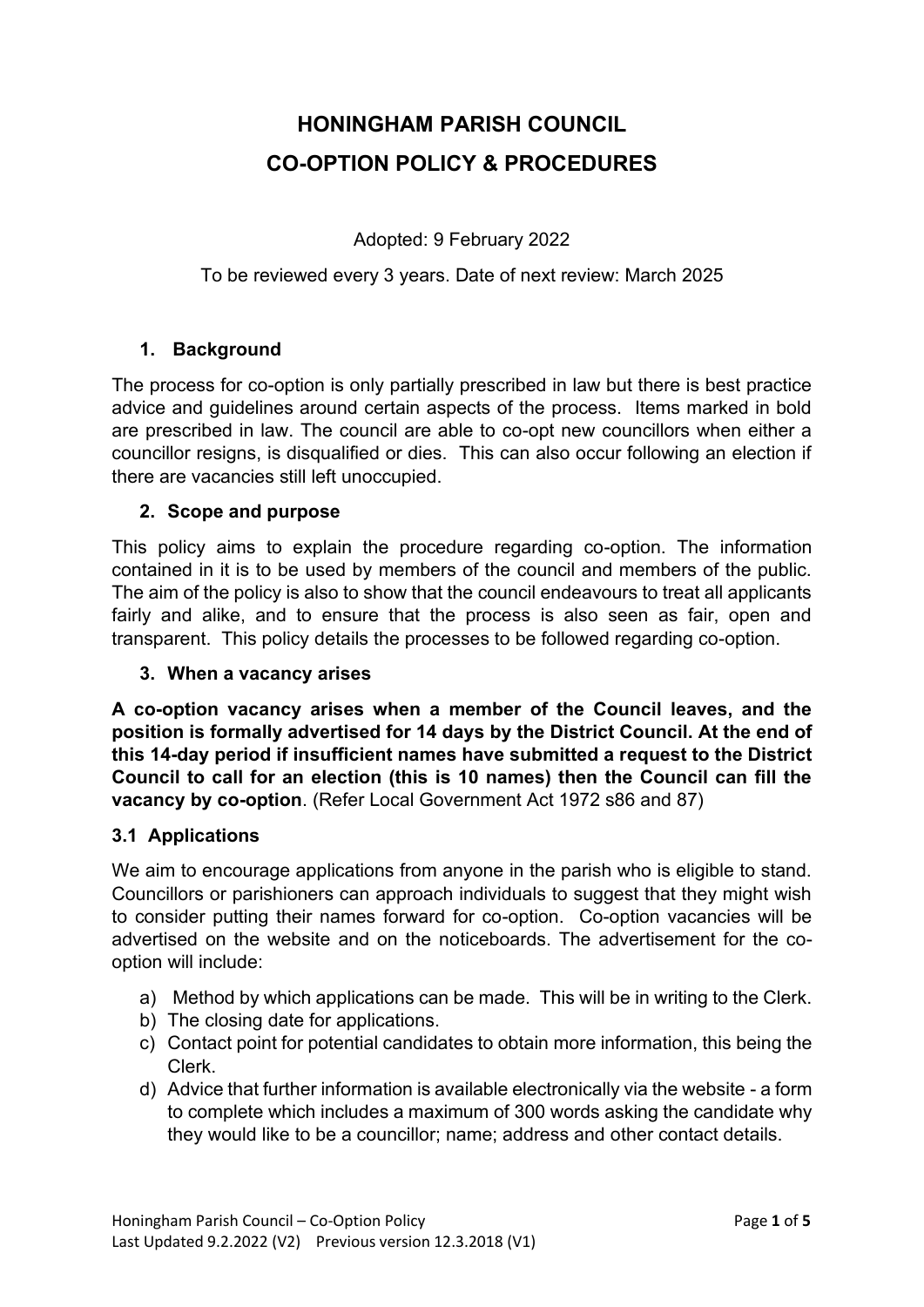# **HONINGHAM PARISH COUNCIL CO-OPTION POLICY & PROCEDURES**

Adopted: 9 February 2022

#### To be reviewed every 3 years. Date of next review: March 2025

## **1. Background**

The process for co-option is only partially prescribed in law but there is best practice advice and guidelines around certain aspects of the process. Items marked in bold are prescribed in law. The council are able to co-opt new councillors when either a councillor resigns, is disqualified or dies. This can also occur following an election if there are vacancies still left unoccupied.

#### **2. Scope and purpose**

This policy aims to explain the procedure regarding co-option. The information contained in it is to be used by members of the council and members of the public. The aim of the policy is also to show that the council endeavours to treat all applicants fairly and alike, and to ensure that the process is also seen as fair, open and transparent. This policy details the processes to be followed regarding co-option.

#### **3. When a vacancy arises**

**A co-option vacancy arises when a member of the Council leaves, and the position is formally advertised for 14 days by the District Council. At the end of this 14-day period if insufficient names have submitted a request to the District Council to call for an election (this is 10 names) then the Council can fill the vacancy by co-option**. (Refer Local Government Act 1972 s86 and 87)

#### **3.1 Applications**

We aim to encourage applications from anyone in the parish who is eligible to stand. Councillors or parishioners can approach individuals to suggest that they might wish to consider putting their names forward for co-option. Co-option vacancies will be advertised on the website and on the noticeboards. The advertisement for the cooption will include:

- a) Method by which applications can be made. This will be in writing to the Clerk.
- b) The closing date for applications.
- c) Contact point for potential candidates to obtain more information, this being the Clerk.
- d) Advice that further information is available electronically via the website a form to complete which includes a maximum of 300 words asking the candidate why they would like to be a councillor; name; address and other contact details.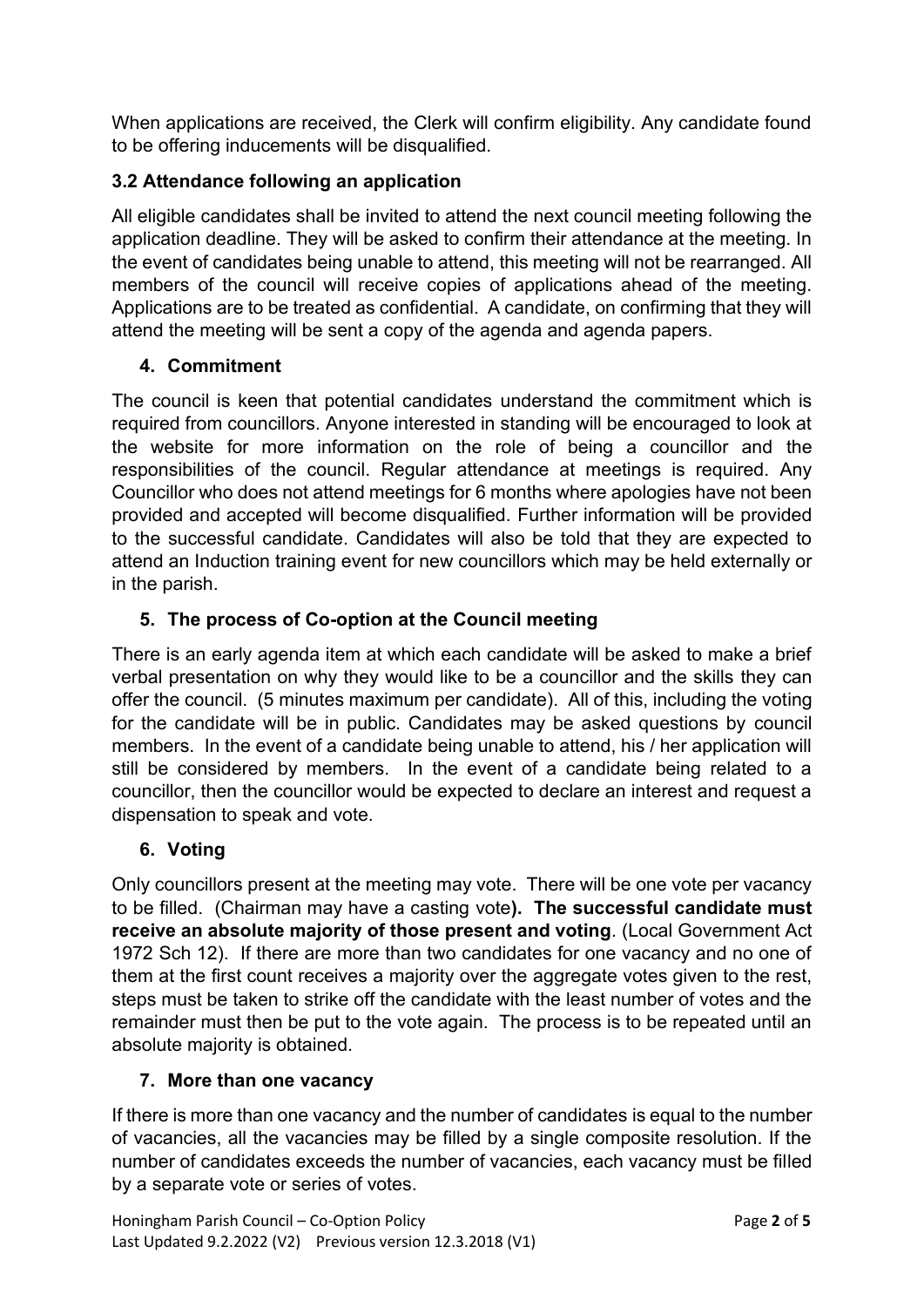When applications are received, the Clerk will confirm eligibility. Any candidate found to be offering inducements will be disqualified.

# **3.2 Attendance following an application**

All eligible candidates shall be invited to attend the next council meeting following the application deadline. They will be asked to confirm their attendance at the meeting. In the event of candidates being unable to attend, this meeting will not be rearranged. All members of the council will receive copies of applications ahead of the meeting. Applications are to be treated as confidential. A candidate, on confirming that they will attend the meeting will be sent a copy of the agenda and agenda papers.

# **4. Commitment**

The council is keen that potential candidates understand the commitment which is required from councillors. Anyone interested in standing will be encouraged to look at the website for more information on the role of being a councillor and the responsibilities of the council. Regular attendance at meetings is required. Any Councillor who does not attend meetings for 6 months where apologies have not been provided and accepted will become disqualified. Further information will be provided to the successful candidate. Candidates will also be told that they are expected to attend an Induction training event for new councillors which may be held externally or in the parish.

# **5. The process of Co-option at the Council meeting**

There is an early agenda item at which each candidate will be asked to make a brief verbal presentation on why they would like to be a councillor and the skills they can offer the council. (5 minutes maximum per candidate). All of this, including the voting for the candidate will be in public. Candidates may be asked questions by council members. In the event of a candidate being unable to attend, his / her application will still be considered by members. In the event of a candidate being related to a councillor, then the councillor would be expected to declare an interest and request a dispensation to speak and vote.

# **6. Voting**

Only councillors present at the meeting may vote. There will be one vote per vacancy to be filled. (Chairman may have a casting vote**). The successful candidate must receive an absolute majority of those present and voting**. (Local Government Act 1972 Sch 12). If there are more than two candidates for one vacancy and no one of them at the first count receives a majority over the aggregate votes given to the rest, steps must be taken to strike off the candidate with the least number of votes and the remainder must then be put to the vote again. The process is to be repeated until an absolute majority is obtained.

## **7. More than one vacancy**

If there is more than one vacancy and the number of candidates is equal to the number of vacancies, all the vacancies may be filled by a single composite resolution. If the number of candidates exceeds the number of vacancies, each vacancy must be filled by a separate vote or series of votes.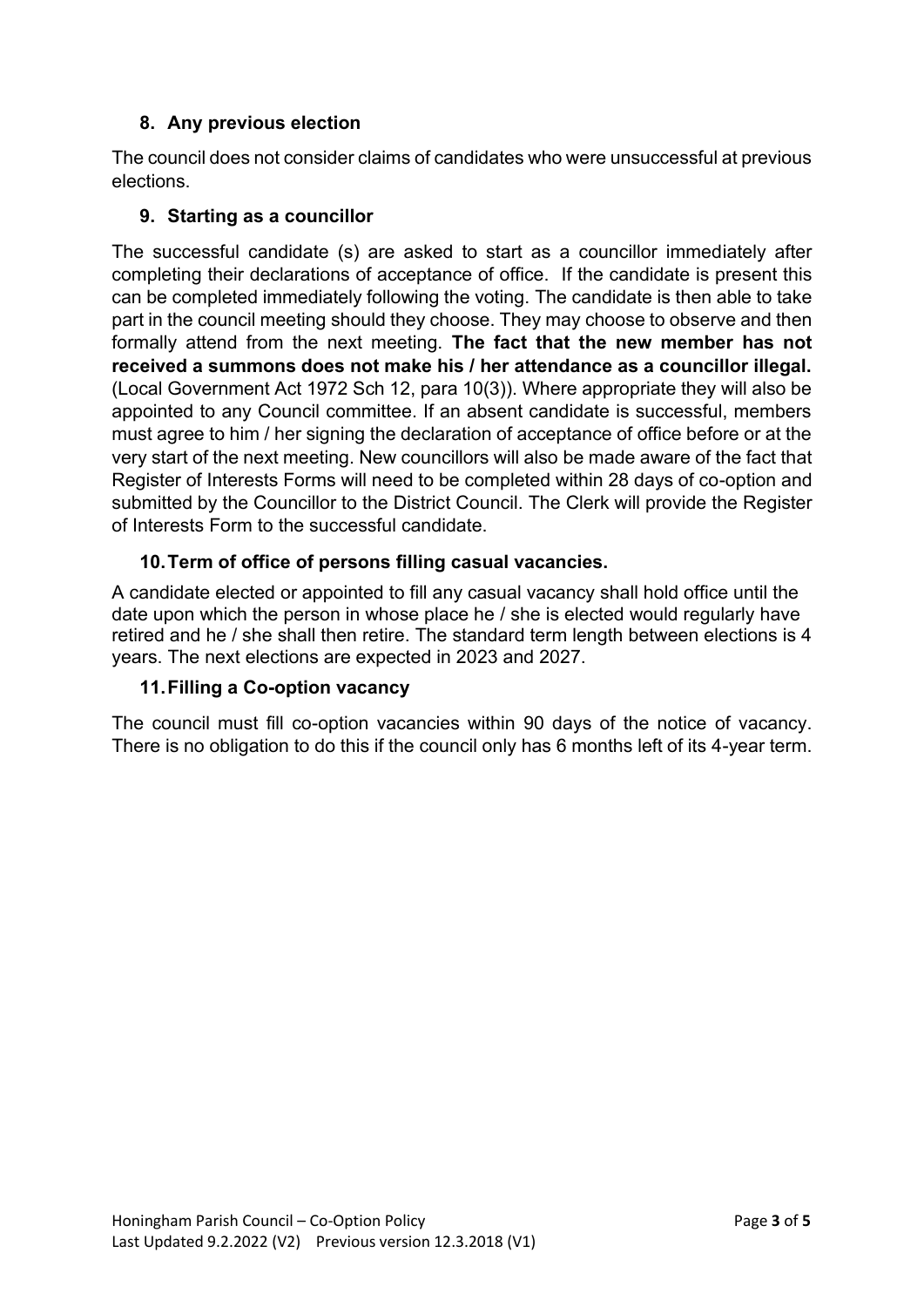## **8. Any previous election**

The council does not consider claims of candidates who were unsuccessful at previous elections.

## **9. Starting as a councillor**

The successful candidate (s) are asked to start as a councillor immediately after completing their declarations of acceptance of office. If the candidate is present this can be completed immediately following the voting. The candidate is then able to take part in the council meeting should they choose. They may choose to observe and then formally attend from the next meeting. **The fact that the new member has not received a summons does not make his / her attendance as a councillor illegal.**  (Local Government Act 1972 Sch 12, para 10(3)). Where appropriate they will also be appointed to any Council committee. If an absent candidate is successful, members must agree to him / her signing the declaration of acceptance of office before or at the very start of the next meeting. New councillors will also be made aware of the fact that Register of Interests Forms will need to be completed within 28 days of co-option and submitted by the Councillor to the District Council. The Clerk will provide the Register of Interests Form to the successful candidate.

## **10.Term of office of persons filling casual vacancies.**

A candidate elected or appointed to fill any casual vacancy shall hold office until the date upon which the person in whose place he / she is elected would regularly have retired and he / she shall then retire. The standard term length between elections is 4 years. The next elections are expected in 2023 and 2027.

## **11.Filling a Co-option vacancy**

The council must fill co-option vacancies within 90 days of the notice of vacancy. There is no obligation to do this if the council only has 6 months left of its 4-year term.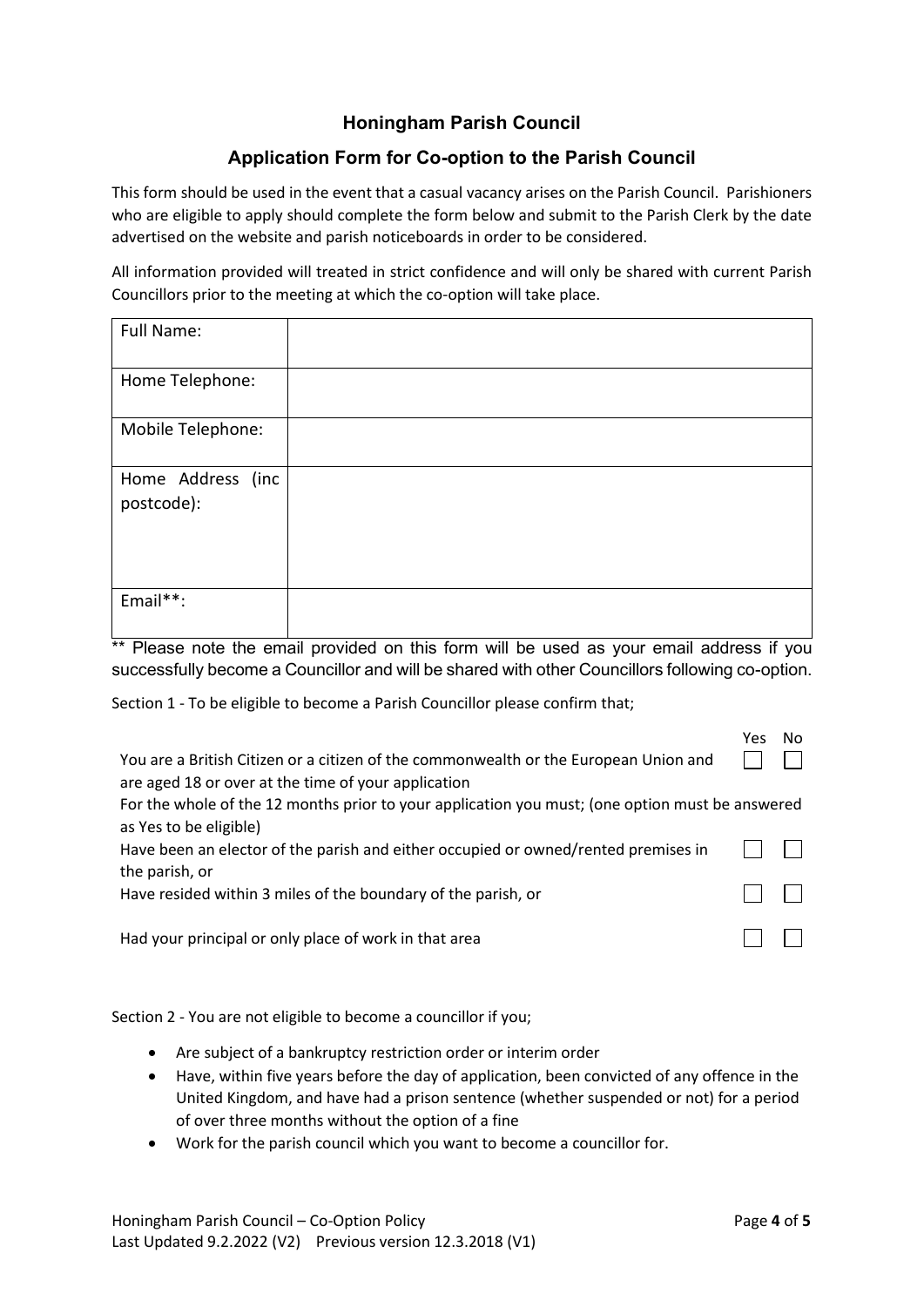#### **Honingham Parish Council**

#### **Application Form for Co-option to the Parish Council**

This form should be used in the event that a casual vacancy arises on the Parish Council. Parishioners who are eligible to apply should complete the form below and submit to the Parish Clerk by the date advertised on the website and parish noticeboards in order to be considered.

All information provided will treated in strict confidence and will only be shared with current Parish Councillors prior to the meeting at which the co-option will take place.

| Full Name:                      |  |
|---------------------------------|--|
| Home Telephone:                 |  |
| Mobile Telephone:               |  |
| Home Address (inc<br>postcode): |  |
| Email**:                        |  |

\*\* Please note the email provided on this form will be used as your email address if you successfully become a Councillor and will be shared with other Councillors following co-option.

Section 1 - To be eligible to become a Parish Councillor please confirm that;

| You are a British Citizen or a citizen of the commonwealth or the European Union and<br>are aged 18 or over at the time of your application |  |
|---------------------------------------------------------------------------------------------------------------------------------------------|--|
| For the whole of the 12 months prior to your application you must; (one option must be answered                                             |  |
| as Yes to be eligible)<br>Have been an elector of the parish and either occupied or owned/rented premises in                                |  |
| the parish, or<br>Have resided within 3 miles of the boundary of the parish, or                                                             |  |
| Had your principal or only place of work in that area                                                                                       |  |

Section 2 - You are not eligible to become a councillor if you;

- Are subject of a bankruptcy restriction order or interim order
- Have, within five years before the day of application, been convicted of any offence in the United Kingdom, and have had a prison sentence (whether suspended or not) for a period of over three months without the option of a fine
- Work for the parish council which you want to become a councillor for.

Yes No